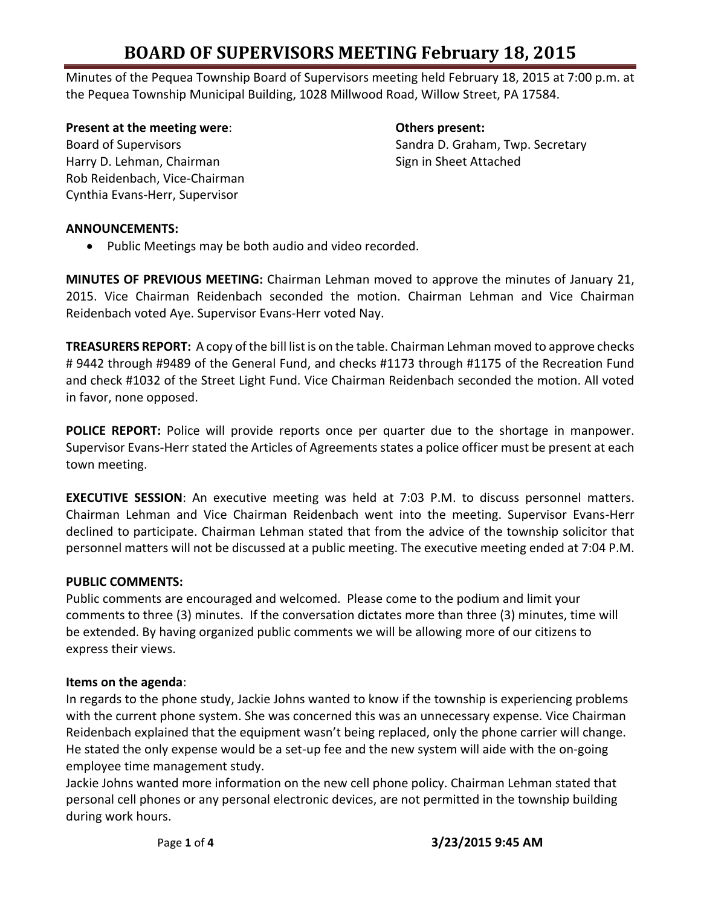Minutes of the Pequea Township Board of Supervisors meeting held February 18, 2015 at 7:00 p.m. at the Pequea Township Municipal Building, 1028 Millwood Road, Willow Street, PA 17584.

**Present at the meeting were**: **Others present:** Harry D. Lehman, Chairman Sign in Sheet Attached Rob Reidenbach, Vice-Chairman Cynthia Evans-Herr, Supervisor

Board of Supervisors Sandra D. Graham, Twp. Secretary

#### **ANNOUNCEMENTS:**

• Public Meetings may be both audio and video recorded.

**MINUTES OF PREVIOUS MEETING:** Chairman Lehman moved to approve the minutes of January 21, 2015. Vice Chairman Reidenbach seconded the motion. Chairman Lehman and Vice Chairman Reidenbach voted Aye. Supervisor Evans-Herr voted Nay.

**TREASURERS REPORT:** A copy of the bill list is on the table. Chairman Lehman moved to approve checks # 9442 through #9489 of the General Fund, and checks #1173 through #1175 of the Recreation Fund and check #1032 of the Street Light Fund. Vice Chairman Reidenbach seconded the motion. All voted in favor, none opposed.

**POLICE REPORT:** Police will provide reports once per quarter due to the shortage in manpower. Supervisor Evans-Herr stated the Articles of Agreements states a police officer must be present at each town meeting.

**EXECUTIVE SESSION**: An executive meeting was held at 7:03 P.M. to discuss personnel matters. Chairman Lehman and Vice Chairman Reidenbach went into the meeting. Supervisor Evans-Herr declined to participate. Chairman Lehman stated that from the advice of the township solicitor that personnel matters will not be discussed at a public meeting. The executive meeting ended at 7:04 P.M.

### **PUBLIC COMMENTS:**

Public comments are encouraged and welcomed. Please come to the podium and limit your comments to three (3) minutes. If the conversation dictates more than three (3) minutes, time will be extended. By having organized public comments we will be allowing more of our citizens to express their views.

#### **Items on the agenda**:

In regards to the phone study, Jackie Johns wanted to know if the township is experiencing problems with the current phone system. She was concerned this was an unnecessary expense. Vice Chairman Reidenbach explained that the equipment wasn't being replaced, only the phone carrier will change. He stated the only expense would be a set-up fee and the new system will aide with the on-going employee time management study.

Jackie Johns wanted more information on the new cell phone policy. Chairman Lehman stated that personal cell phones or any personal electronic devices, are not permitted in the township building during work hours.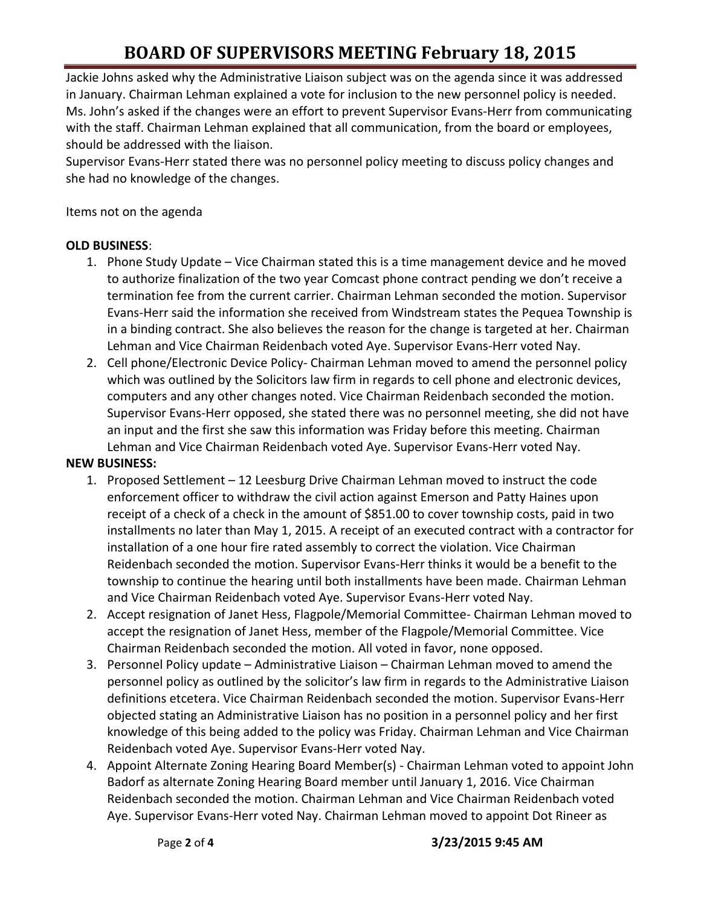Jackie Johns asked why the Administrative Liaison subject was on the agenda since it was addressed in January. Chairman Lehman explained a vote for inclusion to the new personnel policy is needed. Ms. John's asked if the changes were an effort to prevent Supervisor Evans-Herr from communicating with the staff. Chairman Lehman explained that all communication, from the board or employees, should be addressed with the liaison.

Supervisor Evans-Herr stated there was no personnel policy meeting to discuss policy changes and she had no knowledge of the changes.

Items not on the agenda

#### **OLD BUSINESS**:

- 1. Phone Study Update Vice Chairman stated this is a time management device and he moved to authorize finalization of the two year Comcast phone contract pending we don't receive a termination fee from the current carrier. Chairman Lehman seconded the motion. Supervisor Evans-Herr said the information she received from Windstream states the Pequea Township is in a binding contract. She also believes the reason for the change is targeted at her. Chairman Lehman and Vice Chairman Reidenbach voted Aye. Supervisor Evans-Herr voted Nay.
- 2. Cell phone/Electronic Device Policy- Chairman Lehman moved to amend the personnel policy which was outlined by the Solicitors law firm in regards to cell phone and electronic devices, computers and any other changes noted. Vice Chairman Reidenbach seconded the motion. Supervisor Evans-Herr opposed, she stated there was no personnel meeting, she did not have an input and the first she saw this information was Friday before this meeting. Chairman Lehman and Vice Chairman Reidenbach voted Aye. Supervisor Evans-Herr voted Nay.

### **NEW BUSINESS:**

- 1. Proposed Settlement 12 Leesburg Drive Chairman Lehman moved to instruct the code enforcement officer to withdraw the civil action against Emerson and Patty Haines upon receipt of a check of a check in the amount of \$851.00 to cover township costs, paid in two installments no later than May 1, 2015. A receipt of an executed contract with a contractor for installation of a one hour fire rated assembly to correct the violation. Vice Chairman Reidenbach seconded the motion. Supervisor Evans-Herr thinks it would be a benefit to the township to continue the hearing until both installments have been made. Chairman Lehman and Vice Chairman Reidenbach voted Aye. Supervisor Evans-Herr voted Nay.
- 2. Accept resignation of Janet Hess, Flagpole/Memorial Committee- Chairman Lehman moved to accept the resignation of Janet Hess, member of the Flagpole/Memorial Committee. Vice Chairman Reidenbach seconded the motion. All voted in favor, none opposed.
- 3. Personnel Policy update Administrative Liaison Chairman Lehman moved to amend the personnel policy as outlined by the solicitor's law firm in regards to the Administrative Liaison definitions etcetera. Vice Chairman Reidenbach seconded the motion. Supervisor Evans-Herr objected stating an Administrative Liaison has no position in a personnel policy and her first knowledge of this being added to the policy was Friday. Chairman Lehman and Vice Chairman Reidenbach voted Aye. Supervisor Evans-Herr voted Nay.
- 4. Appoint Alternate Zoning Hearing Board Member(s) Chairman Lehman voted to appoint John Badorf as alternate Zoning Hearing Board member until January 1, 2016. Vice Chairman Reidenbach seconded the motion. Chairman Lehman and Vice Chairman Reidenbach voted Aye. Supervisor Evans-Herr voted Nay. Chairman Lehman moved to appoint Dot Rineer as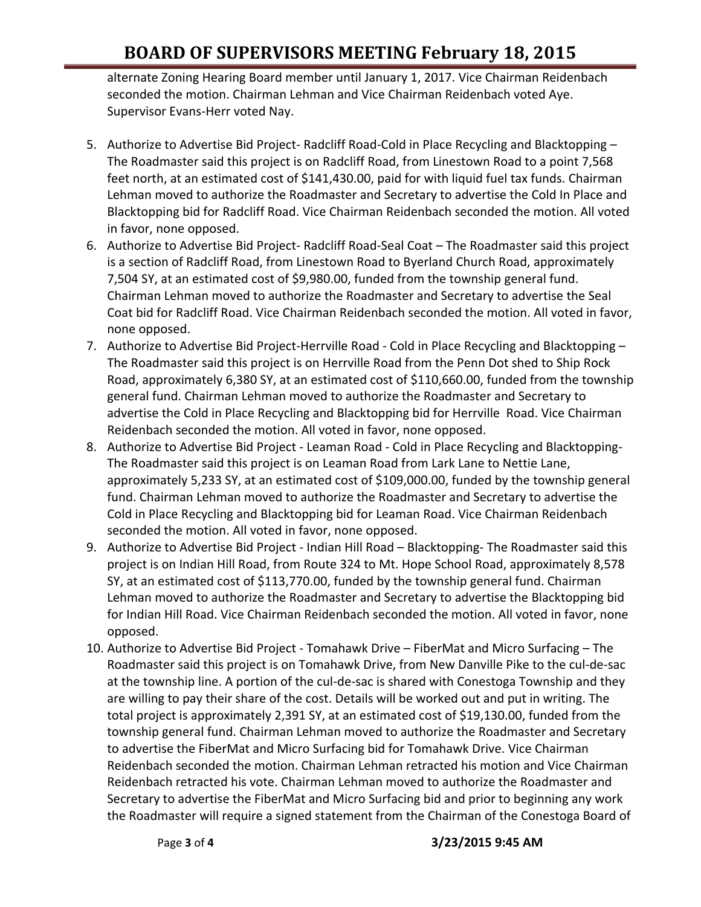alternate Zoning Hearing Board member until January 1, 2017. Vice Chairman Reidenbach seconded the motion. Chairman Lehman and Vice Chairman Reidenbach voted Aye. Supervisor Evans-Herr voted Nay.

- 5. Authorize to Advertise Bid Project- Radcliff Road-Cold in Place Recycling and Blacktopping The Roadmaster said this project is on Radcliff Road, from Linestown Road to a point 7,568 feet north, at an estimated cost of \$141,430.00, paid for with liquid fuel tax funds. Chairman Lehman moved to authorize the Roadmaster and Secretary to advertise the Cold In Place and Blacktopping bid for Radcliff Road. Vice Chairman Reidenbach seconded the motion. All voted in favor, none opposed.
- 6. Authorize to Advertise Bid Project- Radcliff Road-Seal Coat The Roadmaster said this project is a section of Radcliff Road, from Linestown Road to Byerland Church Road, approximately 7,504 SY, at an estimated cost of \$9,980.00, funded from the township general fund. Chairman Lehman moved to authorize the Roadmaster and Secretary to advertise the Seal Coat bid for Radcliff Road. Vice Chairman Reidenbach seconded the motion. All voted in favor, none opposed.
- 7. Authorize to Advertise Bid Project-Herrville Road Cold in Place Recycling and Blacktopping -The Roadmaster said this project is on Herrville Road from the Penn Dot shed to Ship Rock Road, approximately 6,380 SY, at an estimated cost of \$110,660.00, funded from the township general fund. Chairman Lehman moved to authorize the Roadmaster and Secretary to advertise the Cold in Place Recycling and Blacktopping bid for Herrville Road. Vice Chairman Reidenbach seconded the motion. All voted in favor, none opposed.
- 8. Authorize to Advertise Bid Project Leaman Road Cold in Place Recycling and Blacktopping-The Roadmaster said this project is on Leaman Road from Lark Lane to Nettie Lane, approximately 5,233 SY, at an estimated cost of \$109,000.00, funded by the township general fund. Chairman Lehman moved to authorize the Roadmaster and Secretary to advertise the Cold in Place Recycling and Blacktopping bid for Leaman Road. Vice Chairman Reidenbach seconded the motion. All voted in favor, none opposed.
- 9. Authorize to Advertise Bid Project Indian Hill Road Blacktopping- The Roadmaster said this project is on Indian Hill Road, from Route 324 to Mt. Hope School Road, approximately 8,578 SY, at an estimated cost of \$113,770.00, funded by the township general fund. Chairman Lehman moved to authorize the Roadmaster and Secretary to advertise the Blacktopping bid for Indian Hill Road. Vice Chairman Reidenbach seconded the motion. All voted in favor, none opposed.
- 10. Authorize to Advertise Bid Project Tomahawk Drive FiberMat and Micro Surfacing The Roadmaster said this project is on Tomahawk Drive, from New Danville Pike to the cul-de-sac at the township line. A portion of the cul-de-sac is shared with Conestoga Township and they are willing to pay their share of the cost. Details will be worked out and put in writing. The total project is approximately 2,391 SY, at an estimated cost of \$19,130.00, funded from the township general fund. Chairman Lehman moved to authorize the Roadmaster and Secretary to advertise the FiberMat and Micro Surfacing bid for Tomahawk Drive. Vice Chairman Reidenbach seconded the motion. Chairman Lehman retracted his motion and Vice Chairman Reidenbach retracted his vote. Chairman Lehman moved to authorize the Roadmaster and Secretary to advertise the FiberMat and Micro Surfacing bid and prior to beginning any work the Roadmaster will require a signed statement from the Chairman of the Conestoga Board of